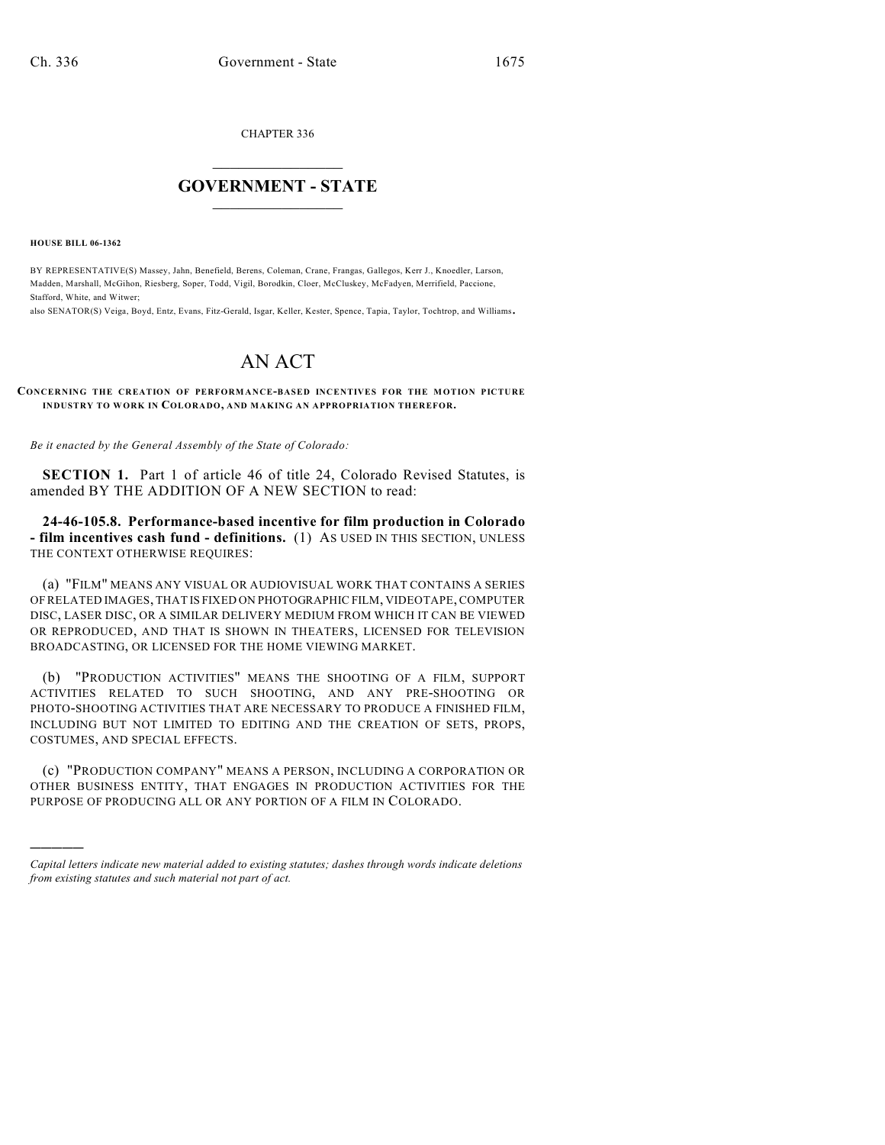CHAPTER 336

## $\mathcal{L}_\text{max}$  . The set of the set of the set of the set of the set of the set of the set of the set of the set of the set of the set of the set of the set of the set of the set of the set of the set of the set of the set **GOVERNMENT - STATE**  $\_$   $\_$   $\_$   $\_$   $\_$   $\_$   $\_$   $\_$   $\_$

**HOUSE BILL 06-1362**

)))))

BY REPRESENTATIVE(S) Massey, Jahn, Benefield, Berens, Coleman, Crane, Frangas, Gallegos, Kerr J., Knoedler, Larson, Madden, Marshall, McGihon, Riesberg, Soper, Todd, Vigil, Borodkin, Cloer, McCluskey, McFadyen, Merrifield, Paccione, Stafford, White, and Witwer;

also SENATOR(S) Veiga, Boyd, Entz, Evans, Fitz-Gerald, Isgar, Keller, Kester, Spence, Tapia, Taylor, Tochtrop, and Williams.

## AN ACT

**CONCERNING THE CREATION OF PERFORMANCE-BASED INCENTIVES FOR THE MOTION PICTURE INDUSTRY TO WORK IN COLORADO, AND MAKING AN APPROPRIATION THEREFOR.**

*Be it enacted by the General Assembly of the State of Colorado:*

**SECTION 1.** Part 1 of article 46 of title 24, Colorado Revised Statutes, is amended BY THE ADDITION OF A NEW SECTION to read:

**24-46-105.8. Performance-based incentive for film production in Colorado - film incentives cash fund - definitions.** (1) AS USED IN THIS SECTION, UNLESS THE CONTEXT OTHERWISE REQUIRES:

(a) "FILM" MEANS ANY VISUAL OR AUDIOVISUAL WORK THAT CONTAINS A SERIES OF RELATED IMAGES, THAT IS FIXED ON PHOTOGRAPHIC FILM, VIDEOTAPE, COMPUTER DISC, LASER DISC, OR A SIMILAR DELIVERY MEDIUM FROM WHICH IT CAN BE VIEWED OR REPRODUCED, AND THAT IS SHOWN IN THEATERS, LICENSED FOR TELEVISION BROADCASTING, OR LICENSED FOR THE HOME VIEWING MARKET.

(b) "PRODUCTION ACTIVITIES" MEANS THE SHOOTING OF A FILM, SUPPORT ACTIVITIES RELATED TO SUCH SHOOTING, AND ANY PRE-SHOOTING OR PHOTO-SHOOTING ACTIVITIES THAT ARE NECESSARY TO PRODUCE A FINISHED FILM, INCLUDING BUT NOT LIMITED TO EDITING AND THE CREATION OF SETS, PROPS, COSTUMES, AND SPECIAL EFFECTS.

(c) "PRODUCTION COMPANY" MEANS A PERSON, INCLUDING A CORPORATION OR OTHER BUSINESS ENTITY, THAT ENGAGES IN PRODUCTION ACTIVITIES FOR THE PURPOSE OF PRODUCING ALL OR ANY PORTION OF A FILM IN COLORADO.

*Capital letters indicate new material added to existing statutes; dashes through words indicate deletions from existing statutes and such material not part of act.*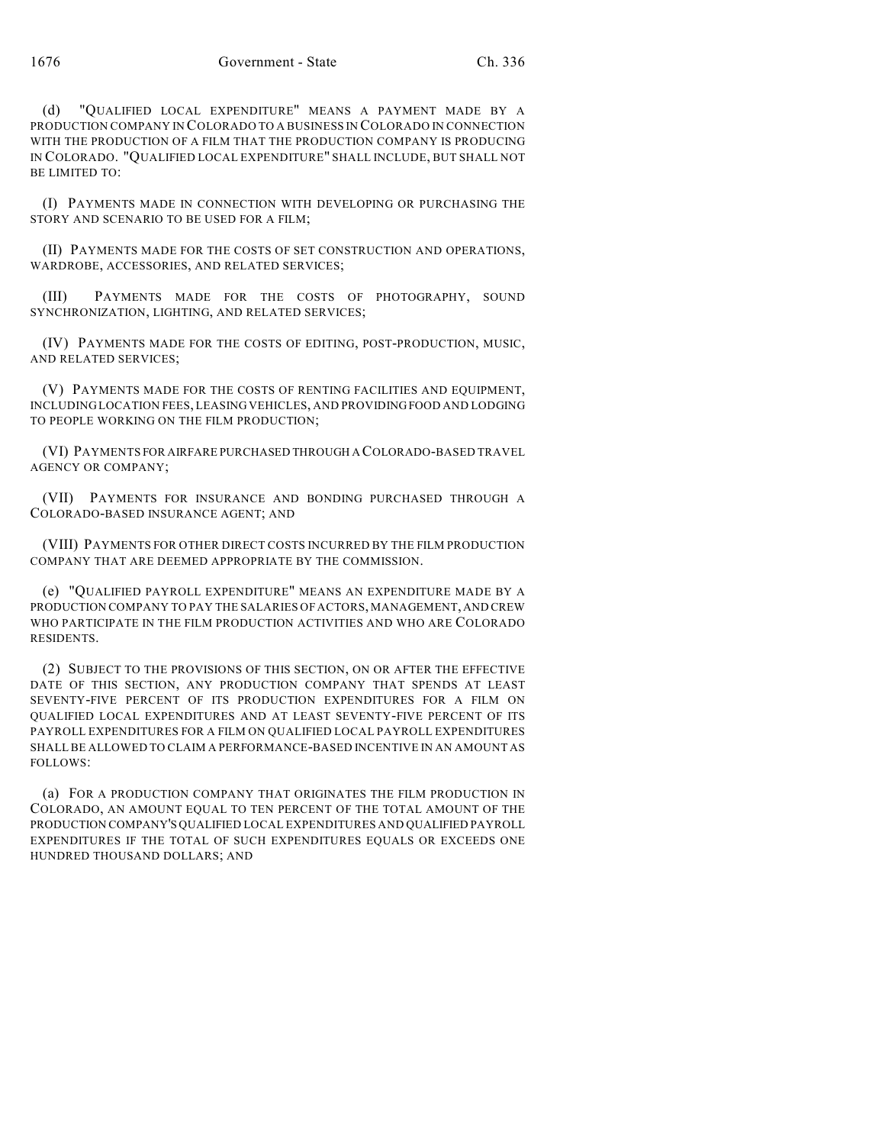(d) "QUALIFIED LOCAL EXPENDITURE" MEANS A PAYMENT MADE BY A PRODUCTION COMPANY IN COLORADO TO A BUSINESS IN COLORADO IN CONNECTION WITH THE PRODUCTION OF A FILM THAT THE PRODUCTION COMPANY IS PRODUCING IN COLORADO. "QUALIFIED LOCAL EXPENDITURE" SHALL INCLUDE, BUT SHALL NOT BE LIMITED TO:

(I) PAYMENTS MADE IN CONNECTION WITH DEVELOPING OR PURCHASING THE STORY AND SCENARIO TO BE USED FOR A FILM;

(II) PAYMENTS MADE FOR THE COSTS OF SET CONSTRUCTION AND OPERATIONS, WARDROBE, ACCESSORIES, AND RELATED SERVICES;

(III) PAYMENTS MADE FOR THE COSTS OF PHOTOGRAPHY, SOUND SYNCHRONIZATION, LIGHTING, AND RELATED SERVICES;

(IV) PAYMENTS MADE FOR THE COSTS OF EDITING, POST-PRODUCTION, MUSIC, AND RELATED SERVICES;

(V) PAYMENTS MADE FOR THE COSTS OF RENTING FACILITIES AND EQUIPMENT, INCLUDING LOCATION FEES, LEASING VEHICLES, AND PROVIDING FOOD AND LODGING TO PEOPLE WORKING ON THE FILM PRODUCTION;

(VI) PAYMENTS FOR AIRFARE PURCHASED THROUGH A COLORADO-BASED TRAVEL AGENCY OR COMPANY;

(VII) PAYMENTS FOR INSURANCE AND BONDING PURCHASED THROUGH A COLORADO-BASED INSURANCE AGENT; AND

(VIII) PAYMENTS FOR OTHER DIRECT COSTS INCURRED BY THE FILM PRODUCTION COMPANY THAT ARE DEEMED APPROPRIATE BY THE COMMISSION.

(e) "QUALIFIED PAYROLL EXPENDITURE" MEANS AN EXPENDITURE MADE BY A PRODUCTION COMPANY TO PAY THE SALARIES OF ACTORS, MANAGEMENT, AND CREW WHO PARTICIPATE IN THE FILM PRODUCTION ACTIVITIES AND WHO ARE COLORADO RESIDENTS.

(2) SUBJECT TO THE PROVISIONS OF THIS SECTION, ON OR AFTER THE EFFECTIVE DATE OF THIS SECTION, ANY PRODUCTION COMPANY THAT SPENDS AT LEAST SEVENTY-FIVE PERCENT OF ITS PRODUCTION EXPENDITURES FOR A FILM ON QUALIFIED LOCAL EXPENDITURES AND AT LEAST SEVENTY-FIVE PERCENT OF ITS PAYROLL EXPENDITURES FOR A FILM ON QUALIFIED LOCAL PAYROLL EXPENDITURES SHALL BE ALLOWED TO CLAIM A PERFORMANCE-BASED INCENTIVE IN AN AMOUNT AS FOLLOWS:

(a) FOR A PRODUCTION COMPANY THAT ORIGINATES THE FILM PRODUCTION IN COLORADO, AN AMOUNT EQUAL TO TEN PERCENT OF THE TOTAL AMOUNT OF THE PRODUCTION COMPANY'S QUALIFIED LOCAL EXPENDITURES AND QUALIFIED PAYROLL EXPENDITURES IF THE TOTAL OF SUCH EXPENDITURES EQUALS OR EXCEEDS ONE HUNDRED THOUSAND DOLLARS; AND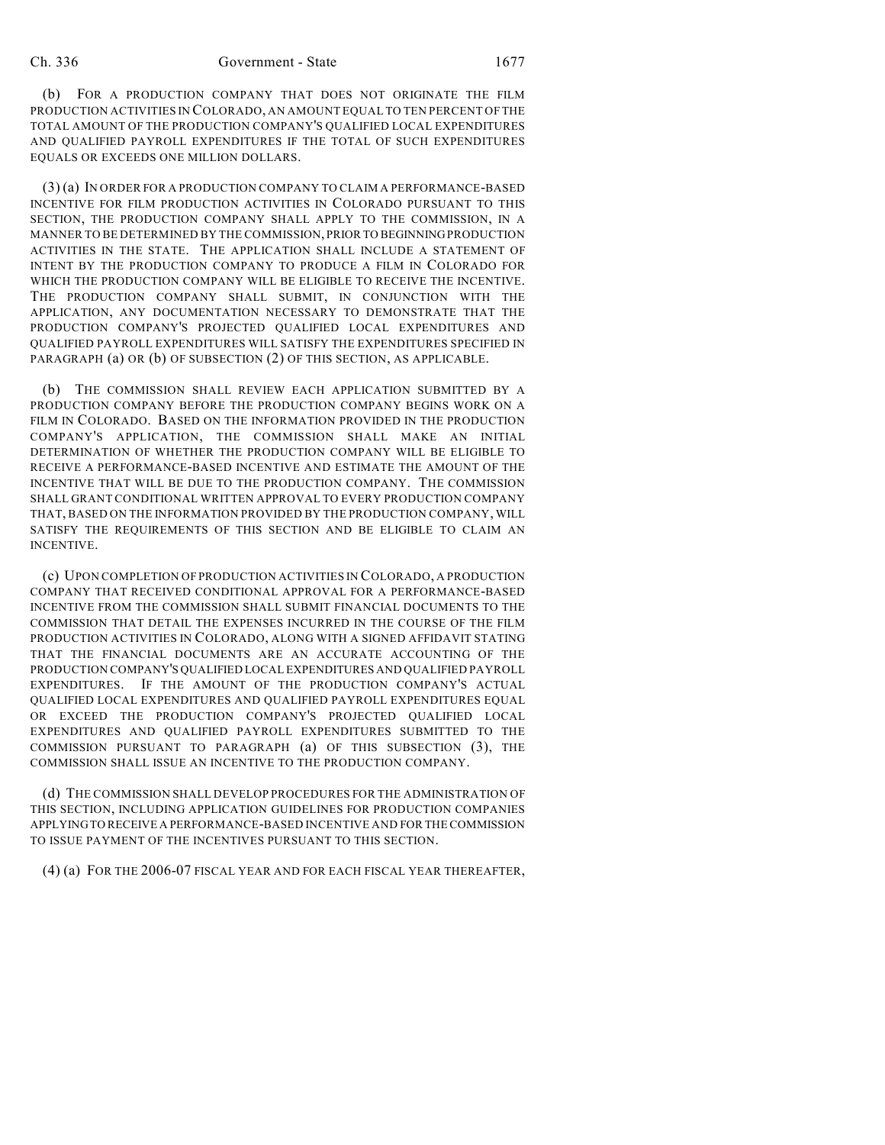(b) FOR A PRODUCTION COMPANY THAT DOES NOT ORIGINATE THE FILM PRODUCTION ACTIVITIES IN COLORADO, AN AMOUNT EQUAL TO TEN PERCENT OF THE TOTAL AMOUNT OF THE PRODUCTION COMPANY'S QUALIFIED LOCAL EXPENDITURES AND QUALIFIED PAYROLL EXPENDITURES IF THE TOTAL OF SUCH EXPENDITURES EQUALS OR EXCEEDS ONE MILLION DOLLARS.

(3) (a) IN ORDER FOR A PRODUCTION COMPANY TO CLAIM A PERFORMANCE-BASED INCENTIVE FOR FILM PRODUCTION ACTIVITIES IN COLORADO PURSUANT TO THIS SECTION, THE PRODUCTION COMPANY SHALL APPLY TO THE COMMISSION, IN A MANNER TO BE DETERMINED BY THE COMMISSION, PRIOR TO BEGINNING PRODUCTION ACTIVITIES IN THE STATE. THE APPLICATION SHALL INCLUDE A STATEMENT OF INTENT BY THE PRODUCTION COMPANY TO PRODUCE A FILM IN COLORADO FOR WHICH THE PRODUCTION COMPANY WILL BE ELIGIBLE TO RECEIVE THE INCENTIVE. THE PRODUCTION COMPANY SHALL SUBMIT, IN CONJUNCTION WITH THE APPLICATION, ANY DOCUMENTATION NECESSARY TO DEMONSTRATE THAT THE PRODUCTION COMPANY'S PROJECTED QUALIFIED LOCAL EXPENDITURES AND QUALIFIED PAYROLL EXPENDITURES WILL SATISFY THE EXPENDITURES SPECIFIED IN PARAGRAPH (a) OR (b) OF SUBSECTION (2) OF THIS SECTION, AS APPLICABLE.

(b) THE COMMISSION SHALL REVIEW EACH APPLICATION SUBMITTED BY A PRODUCTION COMPANY BEFORE THE PRODUCTION COMPANY BEGINS WORK ON A FILM IN COLORADO. BASED ON THE INFORMATION PROVIDED IN THE PRODUCTION COMPANY'S APPLICATION, THE COMMISSION SHALL MAKE AN INITIAL DETERMINATION OF WHETHER THE PRODUCTION COMPANY WILL BE ELIGIBLE TO RECEIVE A PERFORMANCE-BASED INCENTIVE AND ESTIMATE THE AMOUNT OF THE INCENTIVE THAT WILL BE DUE TO THE PRODUCTION COMPANY. THE COMMISSION SHALL GRANT CONDITIONAL WRITTEN APPROVAL TO EVERY PRODUCTION COMPANY THAT, BASED ON THE INFORMATION PROVIDED BY THE PRODUCTION COMPANY, WILL SATISFY THE REQUIREMENTS OF THIS SECTION AND BE ELIGIBLE TO CLAIM AN INCENTIVE.

(c) UPON COMPLETION OF PRODUCTION ACTIVITIES IN COLORADO, A PRODUCTION COMPANY THAT RECEIVED CONDITIONAL APPROVAL FOR A PERFORMANCE-BASED INCENTIVE FROM THE COMMISSION SHALL SUBMIT FINANCIAL DOCUMENTS TO THE COMMISSION THAT DETAIL THE EXPENSES INCURRED IN THE COURSE OF THE FILM PRODUCTION ACTIVITIES IN COLORADO, ALONG WITH A SIGNED AFFIDAVIT STATING THAT THE FINANCIAL DOCUMENTS ARE AN ACCURATE ACCOUNTING OF THE PRODUCTION COMPANY'S QUALIFIED LOCAL EXPENDITURES AND QUALIFIED PAYROLL EXPENDITURES. IF THE AMOUNT OF THE PRODUCTION COMPANY'S ACTUAL QUALIFIED LOCAL EXPENDITURES AND QUALIFIED PAYROLL EXPENDITURES EQUAL OR EXCEED THE PRODUCTION COMPANY'S PROJECTED QUALIFIED LOCAL EXPENDITURES AND QUALIFIED PAYROLL EXPENDITURES SUBMITTED TO THE COMMISSION PURSUANT TO PARAGRAPH (a) OF THIS SUBSECTION (3), THE COMMISSION SHALL ISSUE AN INCENTIVE TO THE PRODUCTION COMPANY.

(d) THE COMMISSION SHALL DEVELOP PROCEDURES FOR THE ADMINISTRATION OF THIS SECTION, INCLUDING APPLICATION GUIDELINES FOR PRODUCTION COMPANIES APPLYING TO RECEIVE A PERFORMANCE-BASED INCENTIVE AND FOR THE COMMISSION TO ISSUE PAYMENT OF THE INCENTIVES PURSUANT TO THIS SECTION.

(4) (a) FOR THE 2006-07 FISCAL YEAR AND FOR EACH FISCAL YEAR THEREAFTER,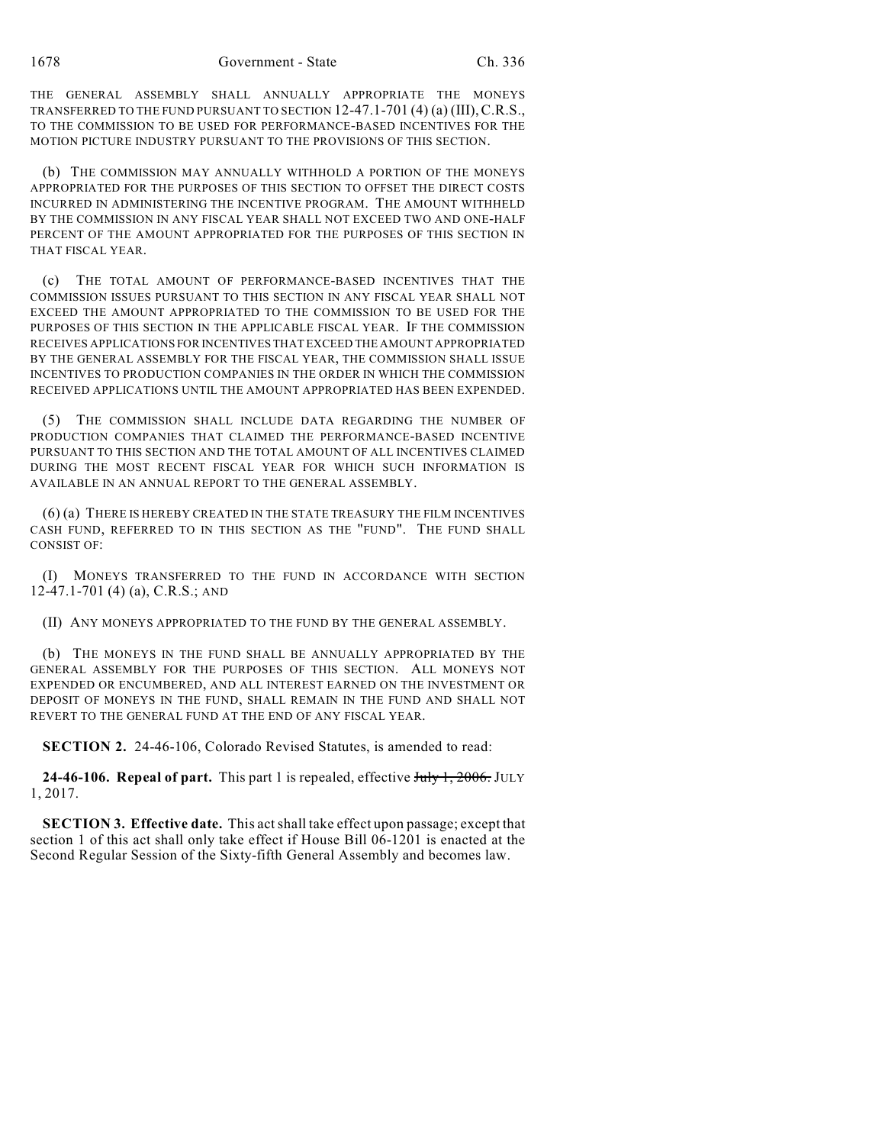THE GENERAL ASSEMBLY SHALL ANNUALLY APPROPRIATE THE MONEYS TRANSFERRED TO THE FUND PURSUANT TO SECTION 12-47.1-701 (4) (a) (III),C.R.S., TO THE COMMISSION TO BE USED FOR PERFORMANCE-BASED INCENTIVES FOR THE MOTION PICTURE INDUSTRY PURSUANT TO THE PROVISIONS OF THIS SECTION.

(b) THE COMMISSION MAY ANNUALLY WITHHOLD A PORTION OF THE MONEYS APPROPRIATED FOR THE PURPOSES OF THIS SECTION TO OFFSET THE DIRECT COSTS INCURRED IN ADMINISTERING THE INCENTIVE PROGRAM. THE AMOUNT WITHHELD BY THE COMMISSION IN ANY FISCAL YEAR SHALL NOT EXCEED TWO AND ONE-HALF PERCENT OF THE AMOUNT APPROPRIATED FOR THE PURPOSES OF THIS SECTION IN THAT FISCAL YEAR.

(c) THE TOTAL AMOUNT OF PERFORMANCE-BASED INCENTIVES THAT THE COMMISSION ISSUES PURSUANT TO THIS SECTION IN ANY FISCAL YEAR SHALL NOT EXCEED THE AMOUNT APPROPRIATED TO THE COMMISSION TO BE USED FOR THE PURPOSES OF THIS SECTION IN THE APPLICABLE FISCAL YEAR. IF THE COMMISSION RECEIVES APPLICATIONS FOR INCENTIVES THAT EXCEED THE AMOUNT APPROPRIATED BY THE GENERAL ASSEMBLY FOR THE FISCAL YEAR, THE COMMISSION SHALL ISSUE INCENTIVES TO PRODUCTION COMPANIES IN THE ORDER IN WHICH THE COMMISSION RECEIVED APPLICATIONS UNTIL THE AMOUNT APPROPRIATED HAS BEEN EXPENDED.

(5) THE COMMISSION SHALL INCLUDE DATA REGARDING THE NUMBER OF PRODUCTION COMPANIES THAT CLAIMED THE PERFORMANCE-BASED INCENTIVE PURSUANT TO THIS SECTION AND THE TOTAL AMOUNT OF ALL INCENTIVES CLAIMED DURING THE MOST RECENT FISCAL YEAR FOR WHICH SUCH INFORMATION IS AVAILABLE IN AN ANNUAL REPORT TO THE GENERAL ASSEMBLY.

(6) (a) THERE IS HEREBY CREATED IN THE STATE TREASURY THE FILM INCENTIVES CASH FUND, REFERRED TO IN THIS SECTION AS THE "FUND". THE FUND SHALL CONSIST OF:

(I) MONEYS TRANSFERRED TO THE FUND IN ACCORDANCE WITH SECTION 12-47.1-701 (4) (a), C.R.S.; AND

(II) ANY MONEYS APPROPRIATED TO THE FUND BY THE GENERAL ASSEMBLY.

(b) THE MONEYS IN THE FUND SHALL BE ANNUALLY APPROPRIATED BY THE GENERAL ASSEMBLY FOR THE PURPOSES OF THIS SECTION. ALL MONEYS NOT EXPENDED OR ENCUMBERED, AND ALL INTEREST EARNED ON THE INVESTMENT OR DEPOSIT OF MONEYS IN THE FUND, SHALL REMAIN IN THE FUND AND SHALL NOT REVERT TO THE GENERAL FUND AT THE END OF ANY FISCAL YEAR.

**SECTION 2.** 24-46-106, Colorado Revised Statutes, is amended to read:

24-46-106. Repeal of part. This part 1 is repealed, effective July 1, 2006. JULY 1, 2017.

**SECTION 3. Effective date.** This act shall take effect upon passage; except that section 1 of this act shall only take effect if House Bill 06-1201 is enacted at the Second Regular Session of the Sixty-fifth General Assembly and becomes law.